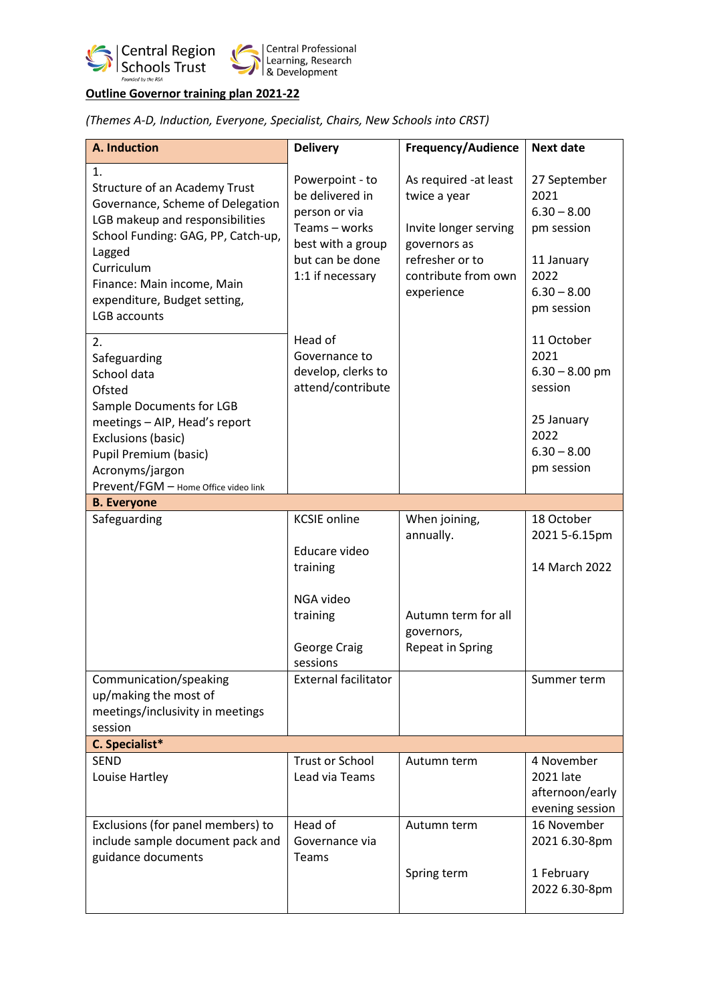

# **Outline Governor training plan 2021-22**

*(Themes A-D, Induction, Everyone, Specialist, Chairs, New Schools into CRST)*

| <b>A. Induction</b>                                                                                                                                                                                                                                           | <b>Delivery</b>                                                                                                                  | <b>Frequency/Audience</b>                                                                                                              | <b>Next date</b>                                                                                         |
|---------------------------------------------------------------------------------------------------------------------------------------------------------------------------------------------------------------------------------------------------------------|----------------------------------------------------------------------------------------------------------------------------------|----------------------------------------------------------------------------------------------------------------------------------------|----------------------------------------------------------------------------------------------------------|
| 1.<br><b>Structure of an Academy Trust</b><br>Governance, Scheme of Delegation<br>LGB makeup and responsibilities<br>School Funding: GAG, PP, Catch-up,<br>Lagged<br>Curriculum<br>Finance: Main income, Main<br>expenditure, Budget setting,<br>LGB accounts | Powerpoint - to<br>be delivered in<br>person or via<br>Teams - works<br>best with a group<br>but can be done<br>1:1 if necessary | As required -at least<br>twice a year<br>Invite longer serving<br>governors as<br>refresher or to<br>contribute from own<br>experience | 27 September<br>2021<br>$6.30 - 8.00$<br>pm session<br>11 January<br>2022<br>$6.30 - 8.00$<br>pm session |
| 2.<br>Safeguarding<br>School data<br>Ofsted<br>Sample Documents for LGB<br>meetings - AIP, Head's report<br><b>Exclusions (basic)</b><br>Pupil Premium (basic)<br>Acronyms/jargon<br>Prevent/FGM - Home Office video link                                     | Head of<br>Governance to<br>develop, clerks to<br>attend/contribute                                                              |                                                                                                                                        | 11 October<br>2021<br>$6.30 - 8.00$ pm<br>session<br>25 January<br>2022<br>$6.30 - 8.00$<br>pm session   |
| <b>B.</b> Everyone                                                                                                                                                                                                                                            |                                                                                                                                  |                                                                                                                                        |                                                                                                          |
| Safeguarding                                                                                                                                                                                                                                                  | <b>KCSIE</b> online<br>Educare video<br>training<br>NGA video<br>training<br><b>George Craig</b><br>sessions                     | When joining,<br>annually.<br>Autumn term for all<br>governors,<br><b>Repeat in Spring</b>                                             | 18 October<br>2021 5-6.15pm<br>14 March 2022                                                             |
| Communication/speaking<br>up/making the most of<br>meetings/inclusivity in meetings<br>session                                                                                                                                                                | <b>External facilitator</b>                                                                                                      |                                                                                                                                        | Summer term                                                                                              |
| <b>C.</b> Specialist*                                                                                                                                                                                                                                         |                                                                                                                                  |                                                                                                                                        |                                                                                                          |
| <b>SEND</b><br>Louise Hartley                                                                                                                                                                                                                                 | <b>Trust or School</b><br>Lead via Teams                                                                                         | Autumn term                                                                                                                            | 4 November<br>2021 late<br>afternoon/early<br>evening session                                            |
| Exclusions (for panel members) to<br>include sample document pack and<br>guidance documents                                                                                                                                                                   | Head of<br>Governance via<br>Teams                                                                                               | Autumn term<br>Spring term                                                                                                             | 16 November<br>2021 6.30-8pm<br>1 February<br>2022 6.30-8pm                                              |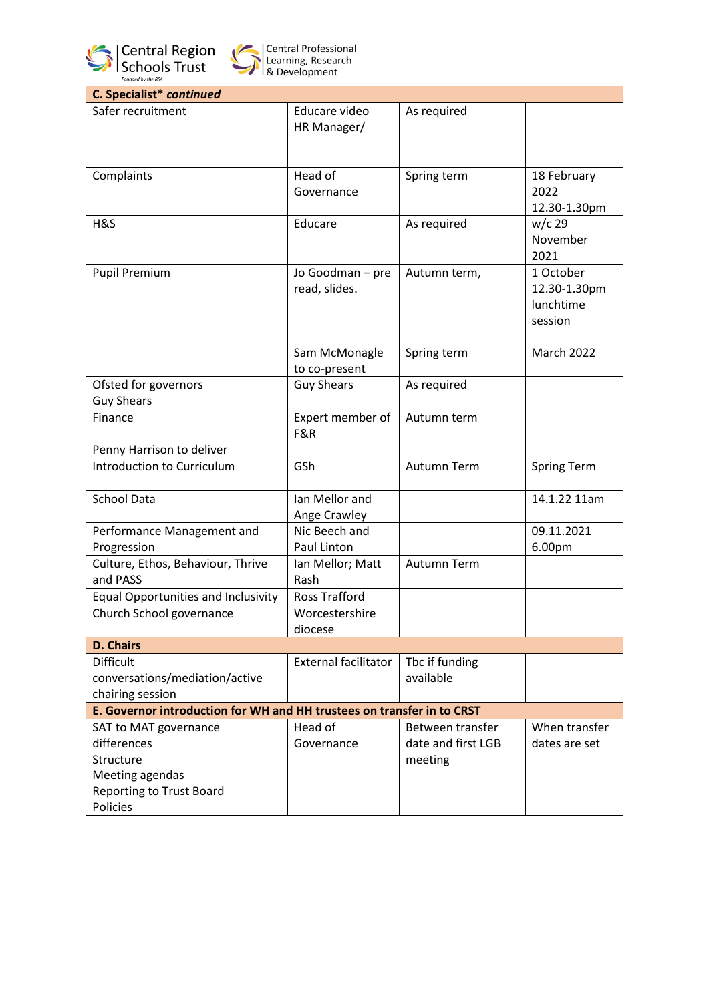



| C. Specialist* continued                                               |                             |                    |                    |  |
|------------------------------------------------------------------------|-----------------------------|--------------------|--------------------|--|
| Safer recruitment                                                      | Educare video               | As required        |                    |  |
|                                                                        | HR Manager/                 |                    |                    |  |
|                                                                        |                             |                    |                    |  |
|                                                                        |                             |                    |                    |  |
| Complaints                                                             | Head of                     | Spring term        | 18 February        |  |
|                                                                        | Governance                  |                    | 2022               |  |
|                                                                        |                             |                    | 12.30-1.30pm       |  |
| H&S                                                                    | Educare                     | As required        | $w/c$ 29           |  |
|                                                                        |                             |                    | November           |  |
|                                                                        |                             |                    | 2021               |  |
|                                                                        |                             |                    | 1 October          |  |
| <b>Pupil Premium</b>                                                   | Jo Goodman - pre            | Autumn term,       |                    |  |
|                                                                        | read, slides.               |                    | 12.30-1.30pm       |  |
|                                                                        |                             |                    | lunchtime          |  |
|                                                                        |                             |                    | session            |  |
|                                                                        |                             |                    |                    |  |
|                                                                        | Sam McMonagle               | Spring term        | March 2022         |  |
|                                                                        | to co-present               |                    |                    |  |
| Ofsted for governors                                                   | <b>Guy Shears</b>           | As required        |                    |  |
| <b>Guy Shears</b>                                                      |                             |                    |                    |  |
| Finance                                                                | Expert member of            | Autumn term        |                    |  |
|                                                                        | F&R                         |                    |                    |  |
| Penny Harrison to deliver                                              |                             |                    |                    |  |
| Introduction to Curriculum                                             | GSh                         | Autumn Term        | <b>Spring Term</b> |  |
|                                                                        |                             |                    |                    |  |
| <b>School Data</b>                                                     | Ian Mellor and              |                    | 14.1.22 11am       |  |
|                                                                        | Ange Crawley                |                    |                    |  |
| Performance Management and                                             | Nic Beech and               |                    | 09.11.2021         |  |
| Progression                                                            | Paul Linton                 |                    | 6.00pm             |  |
| Culture, Ethos, Behaviour, Thrive                                      | Ian Mellor; Matt            | Autumn Term        |                    |  |
| and PASS                                                               | Rash                        |                    |                    |  |
| <b>Equal Opportunities and Inclusivity</b>                             | <b>Ross Trafford</b>        |                    |                    |  |
|                                                                        | Worcestershire              |                    |                    |  |
| Church School governance                                               |                             |                    |                    |  |
|                                                                        | diocese                     |                    |                    |  |
| <b>D. Chairs</b>                                                       |                             |                    |                    |  |
| <b>Difficult</b>                                                       | <b>External facilitator</b> | Tbc if funding     |                    |  |
| conversations/mediation/active                                         |                             | available          |                    |  |
| chairing session                                                       |                             |                    |                    |  |
| E. Governor introduction for WH and HH trustees on transfer in to CRST |                             |                    |                    |  |
| SAT to MAT governance                                                  | Head of                     | Between transfer   | When transfer      |  |
| differences                                                            | Governance                  | date and first LGB | dates are set      |  |
| Structure                                                              |                             | meeting            |                    |  |
| Meeting agendas                                                        |                             |                    |                    |  |
| <b>Reporting to Trust Board</b>                                        |                             |                    |                    |  |
| Policies                                                               |                             |                    |                    |  |